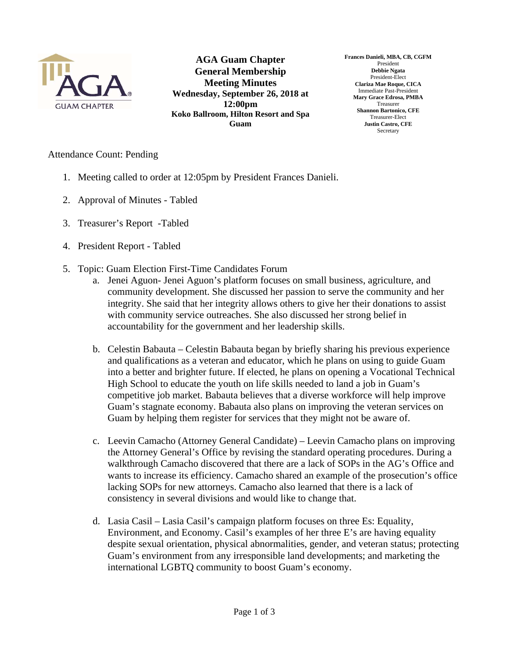

**AGA Guam Chapter General Membership Meeting Minutes Wednesday, September 26, 2018 at 12:00pm Koko Ballroom, Hilton Resort and Spa Guam** 

**Frances Danieli, MBA, CB, CGFM**  President **Debbie Ngata**  President-Elect **Clariza Mae Roque, CICA**  Immediate Past-President **Mary Grace Edrosa, PMBA**  Treasurer **Shannon Bartonico, CFE**  Treasurer-Elect **Justin Castro, CFE Secretary** 

## Attendance Count: Pending

- 1. Meeting called to order at 12:05pm by President Frances Danieli.
- 2. Approval of Minutes Tabled
- 3. Treasurer's Report -Tabled
- 4. President Report Tabled
- 5. Topic: Guam Election First-Time Candidates Forum
	- a. Jenei Aguon- Jenei Aguon's platform focuses on small business, agriculture, and community development. She discussed her passion to serve the community and her integrity. She said that her integrity allows others to give her their donations to assist with community service outreaches. She also discussed her strong belief in accountability for the government and her leadership skills.
	- b. Celestin Babauta Celestin Babauta began by briefly sharing his previous experience and qualifications as a veteran and educator, which he plans on using to guide Guam into a better and brighter future. If elected, he plans on opening a Vocational Technical High School to educate the youth on life skills needed to land a job in Guam's competitive job market. Babauta believes that a diverse workforce will help improve Guam's stagnate economy. Babauta also plans on improving the veteran services on Guam by helping them register for services that they might not be aware of.
	- c. Leevin Camacho (Attorney General Candidate) Leevin Camacho plans on improving the Attorney General's Office by revising the standard operating procedures. During a walkthrough Camacho discovered that there are a lack of SOPs in the AG's Office and wants to increase its efficiency. Camacho shared an example of the prosecution's office lacking SOPs for new attorneys. Camacho also learned that there is a lack of consistency in several divisions and would like to change that.
	- d. Lasia Casil Lasia Casil's campaign platform focuses on three Es: Equality, Environment, and Economy. Casil's examples of her three E's are having equality despite sexual orientation, physical abnormalities, gender, and veteran status; protecting Guam's environment from any irresponsible land developments; and marketing the international LGBTQ community to boost Guam's economy.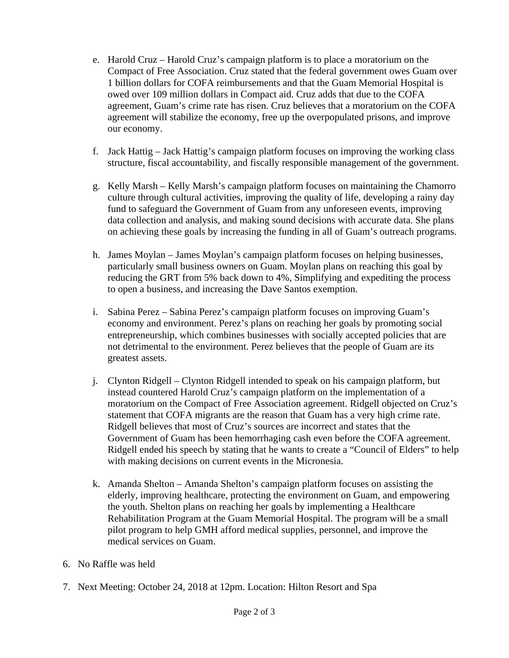- e. Harold Cruz Harold Cruz's campaign platform is to place a moratorium on the Compact of Free Association. Cruz stated that the federal government owes Guam over 1 billion dollars for COFA reimbursements and that the Guam Memorial Hospital is owed over 109 million dollars in Compact aid. Cruz adds that due to the COFA agreement, Guam's crime rate has risen. Cruz believes that a moratorium on the COFA agreement will stabilize the economy, free up the overpopulated prisons, and improve our economy.
- f. Jack Hattig Jack Hattig's campaign platform focuses on improving the working class structure, fiscal accountability, and fiscally responsible management of the government.
- g. Kelly Marsh Kelly Marsh's campaign platform focuses on maintaining the Chamorro culture through cultural activities, improving the quality of life, developing a rainy day fund to safeguard the Government of Guam from any unforeseen events, improving data collection and analysis, and making sound decisions with accurate data. She plans on achieving these goals by increasing the funding in all of Guam's outreach programs.
- h. James Moylan James Moylan's campaign platform focuses on helping businesses, particularly small business owners on Guam. Moylan plans on reaching this goal by reducing the GRT from 5% back down to 4%, Simplifying and expediting the process to open a business, and increasing the Dave Santos exemption.
- i. Sabina Perez Sabina Perez's campaign platform focuses on improving Guam's economy and environment. Perez's plans on reaching her goals by promoting social entrepreneurship, which combines businesses with socially accepted policies that are not detrimental to the environment. Perez believes that the people of Guam are its greatest assets.
- j. Clynton Ridgell Clynton Ridgell intended to speak on his campaign platform, but instead countered Harold Cruz's campaign platform on the implementation of a moratorium on the Compact of Free Association agreement. Ridgell objected on Cruz's statement that COFA migrants are the reason that Guam has a very high crime rate. Ridgell believes that most of Cruz's sources are incorrect and states that the Government of Guam has been hemorrhaging cash even before the COFA agreement. Ridgell ended his speech by stating that he wants to create a "Council of Elders" to help with making decisions on current events in the Micronesia.
- k. Amanda Shelton Amanda Shelton's campaign platform focuses on assisting the elderly, improving healthcare, protecting the environment on Guam, and empowering the youth. Shelton plans on reaching her goals by implementing a Healthcare Rehabilitation Program at the Guam Memorial Hospital. The program will be a small pilot program to help GMH afford medical supplies, personnel, and improve the medical services on Guam.
- 6. No Raffle was held
- 7. Next Meeting: October 24, 2018 at 12pm. Location: Hilton Resort and Spa